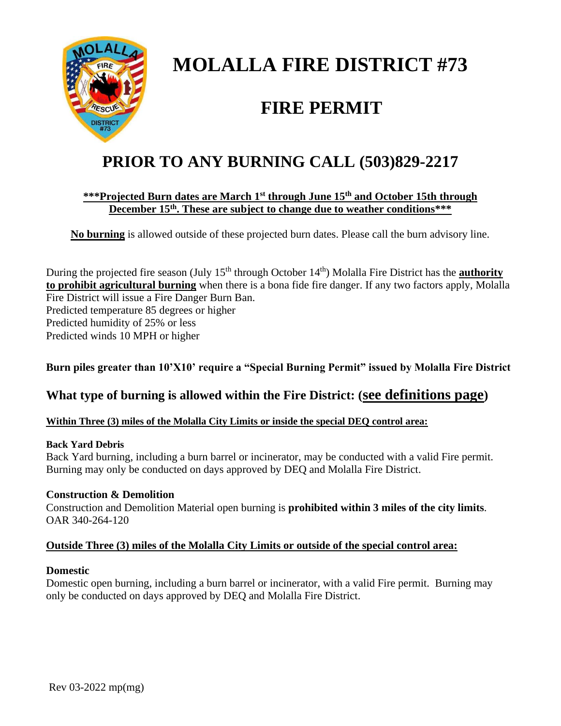

# **MOLALLA FIRE DISTRICT #73**

# **FIRE PERMIT**

# **PRIOR TO ANY BURNING CALL (503)829-2217**

### **\*\*\*Projected Burn dates are March 1st through June 15th and October 15th through December 15th . These are subject to change due to weather conditions\*\*\***

**No burning** is allowed outside of these projected burn dates. Please call the burn advisory line.

During the projected fire season (July 15<sup>th</sup> through October 14<sup>th</sup>) Molalla Fire District has the **authority to prohibit agricultural burning** when there is a bona fide fire danger. If any two factors apply, Molalla Fire District will issue a Fire Danger Burn Ban. Predicted temperature 85 degrees or higher Predicted humidity of 25% or less Predicted winds 10 MPH or higher

## **Burn piles greater than 10'X10' require a "Special Burning Permit" issued by Molalla Fire District**

# **What type of burning is allowed within the Fire District: (see definitions page)**

### **Within Three (3) miles of the Molalla City Limits or inside the special DEQ control area:**

### **Back Yard Debris**

Back Yard burning, including a burn barrel or incinerator, may be conducted with a valid Fire permit. Burning may only be conducted on days approved by DEQ and Molalla Fire District.

### **Construction & Demolition**

Construction and Demolition Material open burning is **prohibited within 3 miles of the city limits**. OAR 340-264-120

### **Outside Three (3) miles of the Molalla City Limits or outside of the special control area:**

### **Domestic**

Domestic open burning, including a burn barrel or incinerator, with a valid Fire permit. Burning may only be conducted on days approved by DEQ and Molalla Fire District.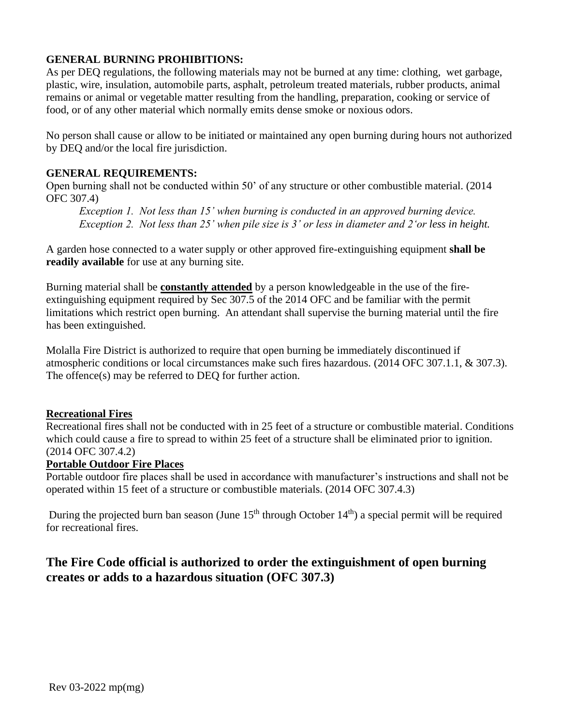#### **GENERAL BURNING PROHIBITIONS:**

As per DEQ regulations, the following materials may not be burned at any time: clothing, wet garbage, plastic, wire, insulation, automobile parts, asphalt, petroleum treated materials, rubber products, animal remains or animal or vegetable matter resulting from the handling, preparation, cooking or service of food, or of any other material which normally emits dense smoke or noxious odors.

No person shall cause or allow to be initiated or maintained any open burning during hours not authorized by DEQ and/or the local fire jurisdiction.

#### **GENERAL REQUIREMENTS:**

Open burning shall not be conducted within 50' of any structure or other combustible material. (2014 OFC 307.4)

*Exception 1. Not less than 15' when burning is conducted in an approved burning device. Exception 2. Not less than 25' when pile size is 3' or less in diameter and 2'or less in height.*

A garden hose connected to a water supply or other approved fire-extinguishing equipment **shall be readily available** for use at any burning site.

Burning material shall be **constantly attended** by a person knowledgeable in the use of the fireextinguishing equipment required by Sec 307.5 of the 2014 OFC and be familiar with the permit limitations which restrict open burning. An attendant shall supervise the burning material until the fire has been extinguished.

Molalla Fire District is authorized to require that open burning be immediately discontinued if atmospheric conditions or local circumstances make such fires hazardous. (2014 OFC 307.1.1, & 307.3). The offence(s) may be referred to DEQ for further action.

#### **Recreational Fires**

Recreational fires shall not be conducted with in 25 feet of a structure or combustible material. Conditions which could cause a fire to spread to within 25 feet of a structure shall be eliminated prior to ignition. (2014 OFC 307.4.2)

#### **Portable Outdoor Fire Places**

Portable outdoor fire places shall be used in accordance with manufacturer's instructions and shall not be operated within 15 feet of a structure or combustible materials. (2014 OFC 307.4.3)

During the projected burn ban season (June  $15<sup>th</sup>$  through October  $14<sup>th</sup>$ ) a special permit will be required for recreational fires.

## **The Fire Code official is authorized to order the extinguishment of open burning creates or adds to a hazardous situation (OFC 307.3)**